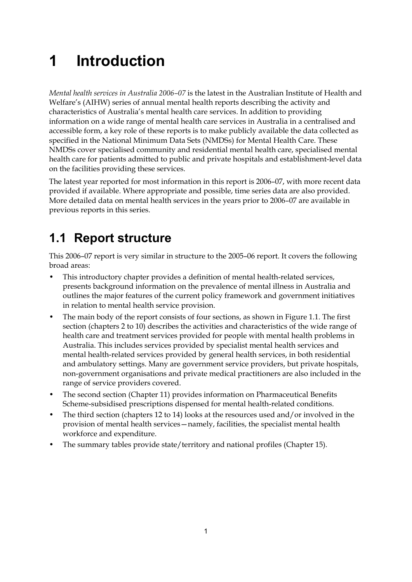# **1 Introduction**

*Mental health services in Australia 2006–07* is the latest in the Australian Institute of Health and Welfare's (AIHW) series of annual mental health reports describing the activity and characteristics of Australia's mental health care services. In addition to providing information on a wide range of mental health care services in Australia in a centralised and accessible form, a key role of these reports is to make publicly available the data collected as specified in the National Minimum Data Sets (NMDSs) for Mental Health Care. These NMDSs cover specialised community and residential mental health care, specialised mental health care for patients admitted to public and private hospitals and establishment-level data on the facilities providing these services.

The latest year reported for most information in this report is 2006–07, with more recent data provided if available. Where appropriate and possible, time series data are also provided. More detailed data on mental health services in the years prior to 2006–07 are available in previous reports in this series.

## **1.1 Report structure**

This 2006–07 report is very similar in structure to the 2005–06 report. It covers the following broad areas:

- This introductory chapter provides a definition of mental health-related services, presents background information on the prevalence of mental illness in Australia and outlines the major features of the current policy framework and government initiatives in relation to mental health service provision.
- The main body of the report consists of four sections, as shown in Figure 1.1. The first section (chapters 2 to 10) describes the activities and characteristics of the wide range of health care and treatment services provided for people with mental health problems in Australia. This includes services provided by specialist mental health services and mental health-related services provided by general health services, in both residential and ambulatory settings. Many are government service providers, but private hospitals, non-government organisations and private medical practitioners are also included in the range of service providers covered.
- The second section (Chapter 11) provides information on Pharmaceutical Benefits Scheme-subsidised prescriptions dispensed for mental health-related conditions.
- The third section (chapters 12 to 14) looks at the resources used and/or involved in the provision of mental health services—namely, facilities, the specialist mental health workforce and expenditure.
- The summary tables provide state/territory and national profiles (Chapter 15).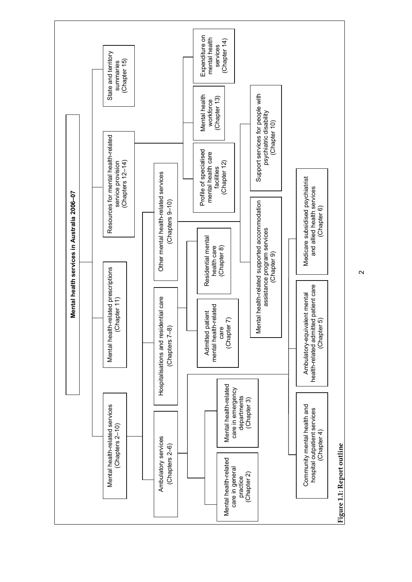

 $\sim$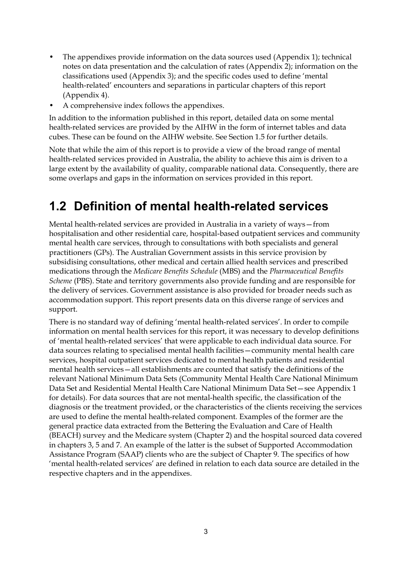- The appendixes provide information on the data sources used (Appendix 1); technical notes on data presentation and the calculation of rates (Appendix 2); information on the classifications used (Appendix 3); and the specific codes used to define 'mental health-related' encounters and separations in particular chapters of this report (Appendix 4).
- A comprehensive index follows the appendixes.

In addition to the information published in this report, detailed data on some mental health-related services are provided by the AIHW in the form of internet tables and data cubes. These can be found on the AIHW website. See Section 1.5 for further details.

Note that while the aim of this report is to provide a view of the broad range of mental health-related services provided in Australia, the ability to achieve this aim is driven to a large extent by the availability of quality, comparable national data. Consequently, there are some overlaps and gaps in the information on services provided in this report.

### **1.2 Definition of mental health-related services**

Mental health-related services are provided in Australia in a variety of ways—from hospitalisation and other residential care, hospital-based outpatient services and community mental health care services, through to consultations with both specialists and general practitioners (GPs). The Australian Government assists in this service provision by subsidising consultations, other medical and certain allied health services and prescribed medications through the *Medicare Benefits Schedule* (MBS) and the *Pharmaceutical Benefits Scheme* (PBS). State and territory governments also provide funding and are responsible for the delivery of services. Government assistance is also provided for broader needs such as accommodation support. This report presents data on this diverse range of services and support.

There is no standard way of defining 'mental health-related services'. In order to compile information on mental health services for this report, it was necessary to develop definitions of 'mental health-related services' that were applicable to each individual data source. For data sources relating to specialised mental health facilities—community mental health care services, hospital outpatient services dedicated to mental health patients and residential mental health services—all establishments are counted that satisfy the definitions of the relevant National Minimum Data Sets (Community Mental Health Care National Minimum Data Set and Residential Mental Health Care National Minimum Data Set—see Appendix 1 for details). For data sources that are not mental-health specific, the classification of the diagnosis or the treatment provided, or the characteristics of the clients receiving the services are used to define the mental health-related component. Examples of the former are the general practice data extracted from the Bettering the Evaluation and Care of Health (BEACH) survey and the Medicare system (Chapter 2) and the hospital sourced data covered in chapters 3, 5 and 7. An example of the latter is the subset of Supported Accommodation Assistance Program (SAAP) clients who are the subject of Chapter 9. The specifics of how 'mental health-related services' are defined in relation to each data source are detailed in the respective chapters and in the appendixes.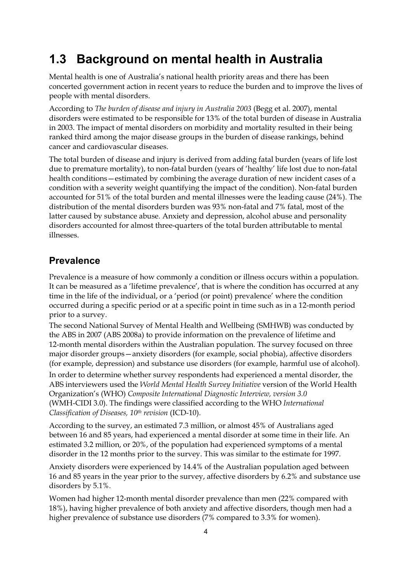### **1.3 Background on mental health in Australia**

Mental health is one of Australia's national health priority areas and there has been concerted government action in recent years to reduce the burden and to improve the lives of people with mental disorders.

According to *The burden of disease and injury in Australia 2003* (Begg et al. 2007), mental disorders were estimated to be responsible for 13% of the total burden of disease in Australia in 2003. The impact of mental disorders on morbidity and mortality resulted in their being ranked third among the major disease groups in the burden of disease rankings, behind cancer and cardiovascular diseases.

The total burden of disease and injury is derived from adding fatal burden (years of life lost due to premature mortality), to non-fatal burden (years of 'healthy' life lost due to non-fatal health conditions—estimated by combining the average duration of new incident cases of a condition with a severity weight quantifying the impact of the condition). Non-fatal burden accounted for 51% of the total burden and mental illnesses were the leading cause (24%). The distribution of the mental disorders burden was 93% non-fatal and 7% fatal, most of the latter caused by substance abuse. Anxiety and depression, alcohol abuse and personality disorders accounted for almost three-quarters of the total burden attributable to mental illnesses.

#### **Prevalence**

Prevalence is a measure of how commonly a condition or illness occurs within a population. It can be measured as a 'lifetime prevalence', that is where the condition has occurred at any time in the life of the individual, or a 'period (or point) prevalence' where the condition occurred during a specific period or at a specific point in time such as in a 12-month period prior to a survey.

The second National Survey of Mental Health and Wellbeing (SMHWB) was conducted by the ABS in 2007 (ABS 2008a) to provide information on the prevalence of lifetime and 12-month mental disorders within the Australian population. The survey focused on three major disorder groups—anxiety disorders (for example, social phobia), affective disorders (for example, depression) and substance use disorders (for example, harmful use of alcohol).

In order to determine whether survey respondents had experienced a mental disorder, the ABS interviewers used the *World Mental Health Survey Initiative* version of the World Health Organization's (WHO) *Composite International Diagnostic Interview, version 3.0*  (WMH-CIDI 3.0). The findings were classified according to the WHO *International Classification of Diseases, 10th revision* (ICD-10).

According to the survey, an estimated 7.3 million, or almost 45% of Australians aged between 16 and 85 years, had experienced a mental disorder at some time in their life. An estimated 3.2 million, or 20%, of the population had experienced symptoms of a mental disorder in the 12 months prior to the survey. This was similar to the estimate for 1997.

Anxiety disorders were experienced by 14.4% of the Australian population aged between 16 and 85 years in the year prior to the survey, affective disorders by 6.2% and substance use disorders by 5.1%.

Women had higher 12-month mental disorder prevalence than men (22% compared with 18%), having higher prevalence of both anxiety and affective disorders, though men had a higher prevalence of substance use disorders (7% compared to 3.3% for women).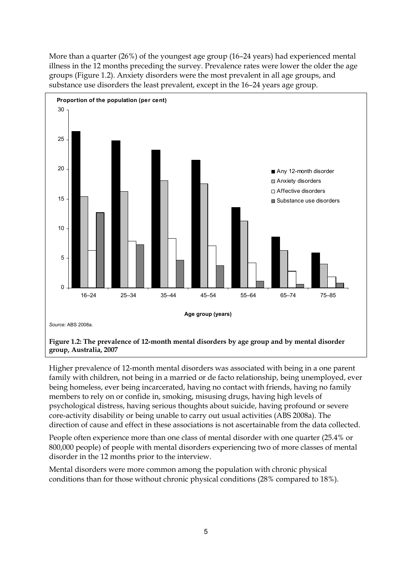More than a quarter (26%) of the youngest age group (16–24 years) had experienced mental illness in the 12 months preceding the survey. Prevalence rates were lower the older the age groups (Figure 1.2). Anxiety disorders were the most prevalent in all age groups, and substance use disorders the least prevalent, except in the 16–24 years age group.



**group, Australia, 2007** 

Higher prevalence of 12-month mental disorders was associated with being in a one parent family with children, not being in a married or de facto relationship, being unemployed, ever being homeless, ever being incarcerated, having no contact with friends, having no family members to rely on or confide in, smoking, misusing drugs, having high levels of psychological distress, having serious thoughts about suicide, having profound or severe core-activity disability or being unable to carry out usual activities (ABS 2008a). The direction of cause and effect in these associations is not ascertainable from the data collected.

People often experience more than one class of mental disorder with one quarter (25.4% or 800,000 people) of people with mental disorders experiencing two of more classes of mental disorder in the 12 months prior to the interview.

Mental disorders were more common among the population with chronic physical conditions than for those without chronic physical conditions (28% compared to 18%).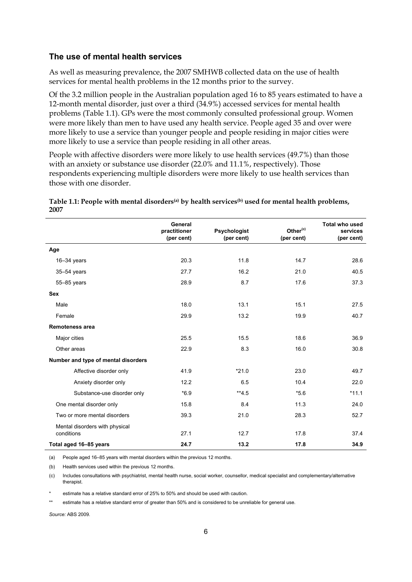#### **The use of mental health services**

As well as measuring prevalence, the 2007 SMHWB collected data on the use of health services for mental health problems in the 12 months prior to the survey.

Of the 3.2 million people in the Australian population aged 16 to 85 years estimated to have a 12-month mental disorder, just over a third (34.9%) accessed services for mental health problems (Table 1.1). GPs were the most commonly consulted professional group. Women were more likely than men to have used any health service. People aged 35 and over were more likely to use a service than younger people and people residing in major cities were more likely to use a service than people residing in all other areas.

People with affective disorders were more likely to use health services (49.7%) than those with an anxiety or substance use disorder (22.0% and 11.1%, respectively). Those respondents experiencing multiple disorders were more likely to use health services than those with one disorder.

|                                              | General<br>practitioner<br>(per cent) | Psychologist<br>(per cent) | Other <sup>(c)</sup><br>(per cent) | <b>Total who used</b><br>services<br>(per cent) |
|----------------------------------------------|---------------------------------------|----------------------------|------------------------------------|-------------------------------------------------|
| Age                                          |                                       |                            |                                    |                                                 |
| $16 - 34$ years                              | 20.3                                  | 11.8                       | 14.7                               | 28.6                                            |
| 35-54 years                                  | 27.7                                  | 16.2                       | 21.0                               | 40.5                                            |
| 55-85 years                                  | 28.9                                  | 8.7                        | 17.6                               | 37.3                                            |
| Sex                                          |                                       |                            |                                    |                                                 |
| Male                                         | 18.0                                  | 13.1                       | 15.1                               | 27.5                                            |
| Female                                       | 29.9                                  | 13.2                       | 19.9                               | 40.7                                            |
| <b>Remoteness area</b>                       |                                       |                            |                                    |                                                 |
| Major cities                                 | 25.5                                  | 15.5                       | 18.6                               | 36.9                                            |
| Other areas                                  | 22.9                                  | 8.3                        | 16.0                               | 30.8                                            |
| Number and type of mental disorders          |                                       |                            |                                    |                                                 |
| Affective disorder only                      | 41.9                                  | $*21.0$                    | 23.0                               | 49.7                                            |
| Anxiety disorder only                        | 12.2                                  | 6.5                        | 10.4                               | 22.0                                            |
| Substance-use disorder only                  | $*6.9$                                | $**4.5$                    | $*5.6$                             | $*11.1$                                         |
| One mental disorder only                     | 15.8                                  | 8.4                        | 11.3                               | 24.0                                            |
| Two or more mental disorders                 | 39.3                                  | 21.0                       | 28.3                               | 52.7                                            |
| Mental disorders with physical<br>conditions | 27.1                                  | 12.7                       | 17.8                               | 37.4                                            |
| Total aged 16-85 years                       | 24.7                                  | 13.2                       | 17.8                               | 34.9                                            |

| Table 1.1: People with mental disorders <sup>(a)</sup> by health services <sup>(b)</sup> used for mental health problems, |  |
|---------------------------------------------------------------------------------------------------------------------------|--|
| 2007                                                                                                                      |  |

(a) People aged 16–85 years with mental disorders within the previous 12 months.

(b) Health services used within the previous 12 months.

(c) Includes consultations with psychiatrist, mental health nurse, social worker, counsellor, medical specialist and complementary/alternative therapist.

estimate has a relative standard error of 25% to 50% and should be used with caution.

estimate has a relative standard error of greater than 50% and is considered to be unreliable for general use.

*Source:* ABS 2009.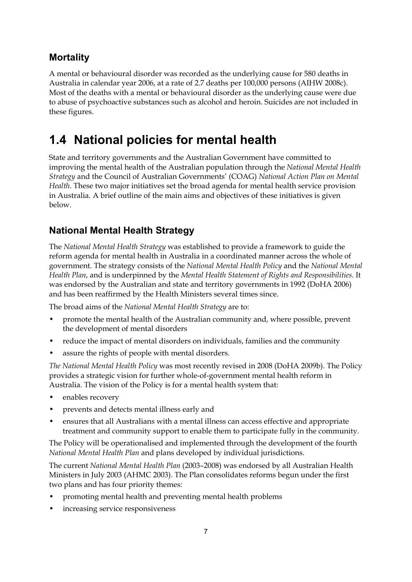#### **Mortality**

A mental or behavioural disorder was recorded as the underlying cause for 580 deaths in Australia in calendar year 2006, at a rate of 2.7 deaths per 100,000 persons (AIHW 2008c). Most of the deaths with a mental or behavioural disorder as the underlying cause were due to abuse of psychoactive substances such as alcohol and heroin. Suicides are not included in these figures.

### **1.4 National policies for mental health**

State and territory governments and the Australian Government have committed to improving the mental health of the Australian population through the *National Mental Health Strategy* and the Council of Australian Governments' (COAG) *National Action Plan on Mental Health*. These two major initiatives set the broad agenda for mental health service provision in Australia. A brief outline of the main aims and objectives of these initiatives is given below.

### **National Mental Health Strategy**

The *National Mental Health Strategy* was established to provide a framework to guide the reform agenda for mental health in Australia in a coordinated manner across the whole of government. The strategy consists of the *National Mental Health Policy* and the *National Mental Health Plan*, and is underpinned by the *Mental Health Statement of Rights and Responsibilities*. It was endorsed by the Australian and state and territory governments in 1992 (DoHA 2006) and has been reaffirmed by the Health Ministers several times since.

The broad aims of the *National Mental Health Strategy* are to:

- promote the mental health of the Australian community and, where possible, prevent the development of mental disorders
- reduce the impact of mental disorders on individuals, families and the community
- assure the rights of people with mental disorders.

*The National Mental Health Policy* was most recently revised in 2008 (DoHA 2009b). The Policy provides a strategic vision for further whole-of-government mental health reform in Australia. The vision of the Policy is for a mental health system that:

- enables recovery
- prevents and detects mental illness early and
- ensures that all Australians with a mental illness can access effective and appropriate treatment and community support to enable them to participate fully in the community.

The Policy will be operationalised and implemented through the development of the fourth *National Mental Health Plan* and plans developed by individual jurisdictions.

The current *National Mental Health Plan* (2003–2008) was endorsed by all Australian Health Ministers in July 2003 (AHMC 2003). The Plan consolidates reforms begun under the first two plans and has four priority themes:

- promoting mental health and preventing mental health problems
- increasing service responsiveness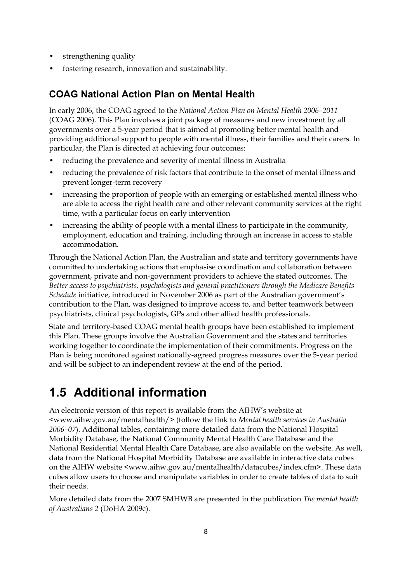- strengthening quality
- fostering research, innovation and sustainability.

#### **COAG National Action Plan on Mental Health**

In early 2006, the COAG agreed to the *National Action Plan on Mental Health 2006–2011* (COAG 2006). This Plan involves a joint package of measures and new investment by all governments over a 5-year period that is aimed at promoting better mental health and providing additional support to people with mental illness, their families and their carers. In particular, the Plan is directed at achieving four outcomes:

- reducing the prevalence and severity of mental illness in Australia
- reducing the prevalence of risk factors that contribute to the onset of mental illness and prevent longer-term recovery
- increasing the proportion of people with an emerging or established mental illness who are able to access the right health care and other relevant community services at the right time, with a particular focus on early intervention
- increasing the ability of people with a mental illness to participate in the community, employment, education and training, including through an increase in access to stable accommodation.

Through the National Action Plan, the Australian and state and territory governments have committed to undertaking actions that emphasise coordination and collaboration between government, private and non-government providers to achieve the stated outcomes. The *Better access to psychiatrists, psychologists and general practitioners through the Medicare Benefits Schedule* initiative, introduced in November 2006 as part of the Australian government's contribution to the Plan, was designed to improve access to, and better teamwork between psychiatrists, clinical psychologists, GPs and other allied health professionals.

State and territory-based COAG mental health groups have been established to implement this Plan. These groups involve the Australian Government and the states and territories working together to coordinate the implementation of their commitments. Progress on the Plan is being monitored against nationally-agreed progress measures over the 5-year period and will be subject to an independent review at the end of the period.

### **1.5 Additional information**

An electronic version of this report is available from the AIHW's website at <www.aihw.gov.au/mentalhealth/> (follow the link to *Mental health services in Australia 2006–07*). Additional tables, containing more detailed data from the National Hospital Morbidity Database, the National Community Mental Health Care Database and the National Residential Mental Health Care Database, are also available on the website. As well, data from the National Hospital Morbidity Database are available in interactive data cubes on the AIHW website <www.aihw.gov.au/mentalhealth/datacubes/index.cfm>. These data cubes allow users to choose and manipulate variables in order to create tables of data to suit their needs.

More detailed data from the 2007 SMHWB are presented in the publication *The mental health of Australians 2* (DoHA 2009c).